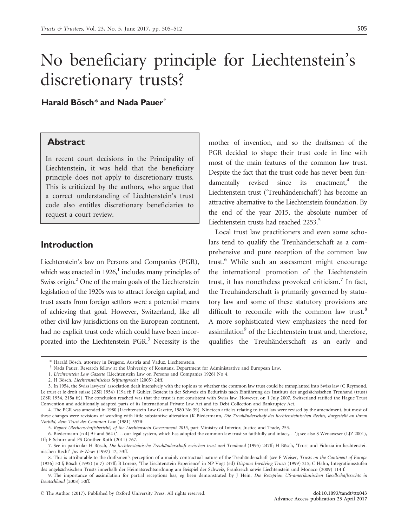# No beneficiary principle for Liechtenstein's discretionary trusts?

Harald Bösch\* and Nada Pauer<sup>†</sup>

#### Abstract

In recent court decisions in the Principality of Liechtenstein, it was held that the beneficiary principle does not apply to discretionary trusts. This is criticized by the authors, who argue that a correct understanding of Liechtenstein's trust code also entitles discretionary beneficiaries to request a court review.

#### Introduction

Liechtenstein's law on Persons and Companies (PGR), which was enacted in 1926, $\frac{1}{2}$  includes many principles of Swiss origin. $^{2}$  One of the main goals of the Liechtenstein legislation of the 1920s was to attract foreign capital, and trust assets from foreign settlors were a potential means of achieving that goal. However, Switzerland, like all other civil law jurisdictions on the European continent, had no explicit trust code which could have been incorporated into the Liechtenstein PGR.<sup>3</sup> Necessity is the

mother of invention, and so the draftsmen of the PGR decided to shape their trust code in line with most of the main features of the common law trust. Despite the fact that the trust code has never been fundamentally revised since its enactment, $<sup>4</sup>$  the</sup> Liechtenstein trust ('Treuhänderschaft') has become an attractive alternative to the Liechtenstein foundation. By the end of the year 2015, the absolute number of Liechtenstein trusts had reached 2253.<sup>5</sup>

Local trust law practitioners and even some scholars tend to qualify the Treuhänderschaft as a comprehensive and pure reception of the common law trust.<sup>6</sup> While such an assessment might encourage the international promotion of the Liechtenstein trust, it has nonetheless provoked criticism.<sup>7</sup> In fact, the Treuhänderschaft is primarily governed by statutory law and some of these statutory provisions are difficult to reconcile with the common law trust.<sup>8</sup> A more sophisticated view emphasizes the need for assimilation<sup>9</sup> of the Liechtenstein trust and, therefore, qualifies the Treuhänderschaft as an early and

<sup>\*</sup> Harald Bösch, attorney in Bregenz, Austria and Vaduz, Liechtenstein.

Nada Pauer, Research fellow at the University of Konstanz, Department for Administrative and European Law.

<sup>1.</sup> Liechtenstein Law Gazette (Liechtenstein Law on Persons and Companies 1926) No 4.

<sup>2.</sup> H Bösch, Liechtensteinisches Stiftungsrecht (2005) 24ff.

<sup>3.</sup> In 1954, the Swiss lawyers' association dealt intensively with the topic as to whether the common law trust could be transplanted into Swiss law (C Reymond, Le trust et le droit suisse (ZSR 1954) 119a ff; F Gubler, Besteht in der Schweiz ein Bedürfnis nach Einführung des Instituts der angelsächsischen Treuhand (trust) (ZSR 1954, 215a ff)). The conclusion reached was that the trust is not consistent with Swiss law. However, on 1 July 2007, Switzerland ratified the Hague Trust Convention and additionally adapted parts of its International Private Law Act and its Debt Collection and Bankruptcy Act.

<sup>4.</sup> The PGR was amended in 1980 (Liechtenstein Law Gazette, 1980 No 39). Nineteen articles relating to trust law were revised by the amendment, but most of these changes were revisions of wording with little substantive alteration (K Biedermann, Die Treuhänderschaft des liechtensteinischen Rechts, dargestellt an ihrem Vorbild, dem Trust des Common Law (1981) 557ff.

<sup>5.</sup> Report (Rechenschaftsbericht) of the Liechtenstein Government 2015, part Ministry of Interior, Justice and Trade, 253.

<sup>6.</sup> Biedermann (n 4) 9 f and 564 ('... our legal system, which has adopted the common law trust so faithfully and intact,...'); see also S Wenaweser (LJZ 2001), 1ff; F Schurr and FS Günther Roth (2011) 767.

<sup>7.</sup> See in particular H Bösch, Die liechtensteinische Treuhänderschaft zwischen trust und Treuhand (1995) 247ff; H Bösch, 'Trust und Fiduzia im liechtensteinischen Recht' Jus & News (1997) 12, 33ff.

<sup>8.</sup> This is attributable to the draftsmen's perception of a mainly contractual nature of the Treuhänderschaft (see F Weiser, Trusts on the Continent of Europe (1936) 50 f; Bösch (1995) (n 7) 247ff; B Lorenz, 'The Liechtenstein Experience' in NP Vogt (ed) Disputes Involving Trusts (1999) 215; C Hahn, Integrationsstufen des angelsächsischen Trusts innerhalb der Heimatsrechtsordnung am Beispiel der Schweiz, Frankreich sowie Liechtenstein und Monaco (2009) 114 f.

<sup>9.</sup> The importance of assimilation for partial receptions has, eg been demonstrated by J Hein, Die Rezeption US-amerikanischen Gesellschaftsrechts in Deutschland (2008) 50ff.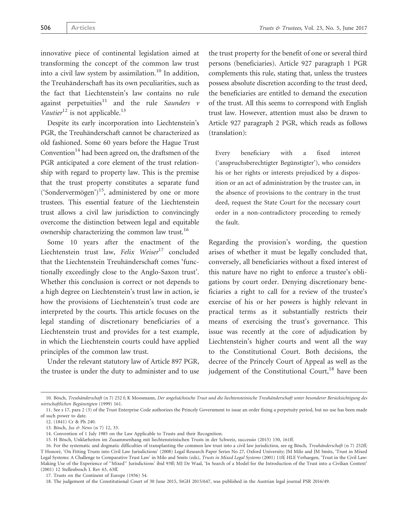innovative piece of continental legislation aimed at transforming the concept of the common law trust into a civil law system by assimilation.<sup>10</sup> In addition, the Treuhänderschaft has its own peculiarities, such as the fact that Liechtenstein's law contains no rule against perpetuities<sup>11</sup> and the rule Saunders v Vautier<sup>12</sup> is not applicable.<sup>13</sup>

Despite its early incorporation into Liechtenstein's PGR, the Treuhänderschaft cannot be characterized as old fashioned. Some 60 years before the Hague Trust Convention<sup>14</sup> had been agreed on, the draftsmen of the PGR anticipated a core element of the trust relationship with regard to property law. This is the premise that the trust property constitutes a separate fund ('Sondervermögen')<sup>15</sup>, administered by one or more trustees. This essential feature of the Liechtenstein trust allows a civil law jurisdiction to convincingly overcome the distinction between legal and equitable ownership characterizing the common law trust.<sup>16</sup>

Some 10 years after the enactment of the Liechtenstein trust law, Felix Weiser $17$  concluded that the Liechtenstein Treuhänderschaft comes 'functionally exceedingly close to the Anglo-Saxon trust'. Whether this conclusion is correct or not depends to a high degree on Liechtenstein's trust law in action, ie how the provisions of Liechtenstein's trust code are interpreted by the courts. This article focuses on the legal standing of discretionary beneficiaries of a Liechtenstein trust and provides for a test example, in which the Liechtenstein courts could have applied principles of the common law trust.

Under the relevant statutory law of Article 897 PGR, the trustee is under the duty to administer and to use the trust property for the benefit of one or several third persons (beneficiaries). Article 927 paragraph 1 PGR complements this rule, stating that, unless the trustees possess absolute discretion according to the trust deed, the beneficiaries are entitled to demand the execution of the trust. All this seems to correspond with English trust law. However, attention must also be drawn to Article 927 paragraph 2 PGR, which reads as follows (translation):

Every beneficiary with a fixed interest ('anspruchsberechtigter Begünstigter'), who considers his or her rights or interests prejudiced by a disposition or an act of administration by the trustee can, in the absence of provisions to the contrary in the trust deed, request the State Court for the necessary court order in a non-contradictory proceeding to remedy the fault.

Regarding the provision's wording, the question arises of whether it must be legally concluded that, conversely, all beneficiaries without a fixed interest of this nature have no right to enforce a trustee's obligations by court order. Denying discretionary beneficiaries a right to call for a review of the trustee's exercise of his or her powers is highly relevant in practical terms as it substantially restricts their means of exercising the trust's governance. This issue was recently at the core of adjudication by Liechtenstein's higher courts and went all the way to the Constitutional Court. Both decisions, the decree of the Princely Court of Appeal as well as the judgement of the Constitutional Court, $18$  have been

<sup>10.</sup> Bösch, Treuhänderschaft (n 7) 252 f; K Moosmann, Der angelsächsische Trust und die liechtensteinische Treuhänderschaft unter besonderer Berücksichtigung des wirtschaftlichen Begünstigten (1999) 161.

<sup>11.</sup> See s 17, para 2 (3) of the Trust Enterprise Code authorizes the Princely Government to issue an order fixing a perpetuity period, but no use has been made of such power to date.

<sup>12. (1841)</sup> Cr & Ph 240.

<sup>13.</sup> Bösch, Jus & News (n 7) 12, 33.

<sup>14.</sup> Convention of 1 July 1985 on the Law Applicable to Trusts and their Recognition.

<sup>15.</sup> H Bösch, Unklarheiten im Zusammenhang mit liechtensteinischen Trusts in der Schweiz, successio (2015) 150, 161ff.

<sup>16.</sup> For the systematic and dogmatic difficulties of transplanting the common law trust into a civil law jurisdiction, see eg Bösch, Treuhänderschaft (n 7) 252ff; T Honore´, 'On Fitting Trusts into Civil Law Jurisdictions' (2008) Legal Research Paper Series No 27, Oxford University; JM Milo and JM Smits, 'Trust in Mixed Legal Systems: A Challenge to Comparative Trust Law' in Milo and Smits (eds), Trusts in Mixed Legal Systems (2001) 11ff; HLE Verhaegen, 'Trust in the Civil Law: Making Use of the Experience of ''Mixed'' Jurisdictions' ibid 93ff; MJ De Waal, 'In Search of a Model for the Introduction of the Trust into a Civilian Context' (2001) 12 Stellenbosch L Rev 63, 63ff.

<sup>17.</sup> Trusts on the Continent of Europe (1936) 54.

<sup>18.</sup> The judgement of the Constitutional Court of 30 June 2015, StGH 2015/647, was published in the Austrian legal journal PSR 2016/49.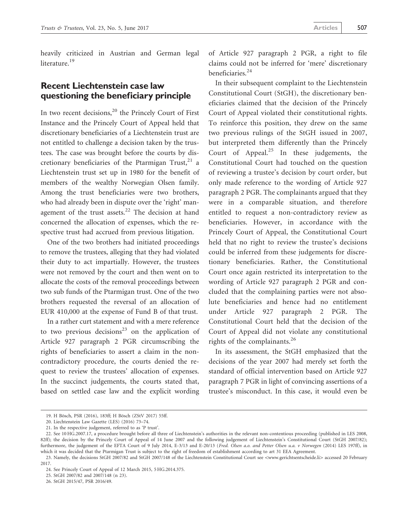### Recent Liechtenstein case law questioning the beneficiary principle

In two recent decisions, $^{20}$  the Princely Court of First Instance and the Princely Court of Appeal held that discretionary beneficiaries of a Liechtenstein trust are not entitled to challenge a decision taken by the trustees. The case was brought before the courts by discretionary beneficiaries of the Ptarmigan Trust, $21$  a Liechtenstein trust set up in 1980 for the benefit of members of the wealthy Norwegian Olsen family. Among the trust beneficiaries were two brothers, who had already been in dispute over the 'right' management of the trust assets.<sup>22</sup> The decision at hand concerned the allocation of expenses, which the respective trust had accrued from previous litigation.

One of the two brothers had initiated proceedings to remove the trustees, alleging that they had violated their duty to act impartially. However, the trustees were not removed by the court and then went on to allocate the costs of the removal proceedings between two sub funds of the Ptarmigan trust. One of the two brothers requested the reversal of an allocation of EUR 410,000 at the expense of Fund B of that trust.

In a rather curt statement and with a mere reference to two previous decisions<sup>23</sup> on the application of Article 927 paragraph 2 PGR circumscribing the rights of beneficiaries to assert a claim in the noncontradictory procedure, the courts denied the request to review the trustees' allocation of expenses. In the succinct judgements, the courts stated that, based on settled case law and the explicit wording of Article 927 paragraph 2 PGR, a right to file claims could not be inferred for 'mere' discretionary beneficiaries.<sup>24</sup>

In their subsequent complaint to the Liechtenstein Constitutional Court (StGH), the discretionary beneficiaries claimed that the decision of the Princely Court of Appeal violated their constitutional rights. To reinforce this position, they drew on the same two previous rulings of the StGH issued in 2007, but interpreted them differently than the Princely Court of Appeal. $25$  In these judgements, the Constitutional Court had touched on the question of reviewing a trustee's decision by court order, but only made reference to the wording of Article 927 paragraph 2 PGR. The complainants argued that they were in a comparable situation, and therefore entitled to request a non-contradictory review as beneficiaries. However, in accordance with the Princely Court of Appeal, the Constitutional Court held that no right to review the trustee's decisions could be inferred from these judgements for discretionary beneficiaries. Rather, the Constitutional Court once again restricted its interpretation to the wording of Article 927 paragraph 2 PGR and concluded that the complaining parties were not absolute beneficiaries and hence had no entitlement under Article 927 paragraph 2 PGR. The Constitutional Court held that the decision of the Court of Appeal did not violate any constitutional rights of the complainants.<sup>26</sup>

In its assessment, the StGH emphasized that the decisions of the year 2007 had merely set forth the standard of official intervention based on Article 927 paragraph 7 PGR in light of convincing assertions of a trustee's misconduct. In this case, it would even be

<sup>19.</sup> H Bösch, PSR (2016), 183ff; H Bösch (ZStV 2017) 55ff.

<sup>20.</sup> Liechtenstein Law Gazette (LES) (2016) 73–74.

<sup>21.</sup> In the respective judgement, referred to as 'P trust'.

<sup>22.</sup> See 10 HG.2007.17, a procedure brought before all three of Liechtenstein's authorities in the relevant non-contentious proceeding (published in LES 2008, 82ff); the decision by the Princely Court of Appeal of 14 June 2007 and the following judgement of Liechtenstein's Constitutional Court (StGH 2007/82); furthermore, the judgement of the EFTA Court of 9 July 2014, E-3/13 and E-20/13 (Fred. Olsen a.o. and Petter Olsen u.a. v Norwegen (2014) LES 197ff), in which it was decided that the Ptarmigan Trust is subject to the right of freedom of establishment according to art 31 EEA Agreement.

<sup>23.</sup> Namely, the decisions StGH 2007/82 and StGH 2007/148 of the Liechtenstein Constitutional Court see <[www.gerichtsentscheide.li](http://www.gerichtsentscheide.li)> accessed 20 February 2017.

<sup>24.</sup> See Princely Court of Appeal of 12 March 2015, 5 HG.2014.375.

<sup>25.</sup> StGH 2007/82 and 2007/148 (n 23).

<sup>26.</sup> StGH 2015/47, PSR 2016/49.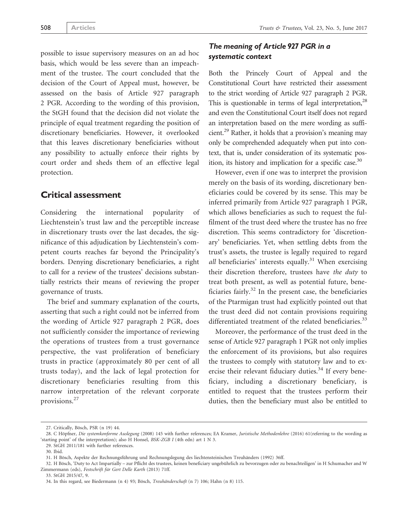possible to issue supervisory measures on an ad hoc basis, which would be less severe than an impeachment of the trustee. The court concluded that the decision of the Court of Appeal must, however, be assessed on the basis of Article 927 paragraph 2 PGR. According to the wording of this provision, the StGH found that the decision did not violate the principle of equal treatment regarding the position of discretionary beneficiaries. However, it overlooked that this leaves discretionary beneficiaries without any possibility to actually enforce their rights by court order and sheds them of an effective legal protection.

#### Critical assessment

Considering the international popularity of Liechtenstein's trust law and the perceptible increase in discretionary trusts over the last decades, the significance of this adjudication by Liechtenstein's competent courts reaches far beyond the Principality's borders. Denying discretionary beneficiaries, a right to call for a review of the trustees' decisions substantially restricts their means of reviewing the proper governance of trusts.

The brief and summary explanation of the courts, asserting that such a right could not be inferred from the wording of Article 927 paragraph 2 PGR, does not sufficiently consider the importance of reviewing the operations of trustees from a trust governance perspective, the vast proliferation of beneficiary trusts in practice (approximately 80 per cent of all trusts today), and the lack of legal protection for discretionary beneficiaries resulting from this narrow interpretation of the relevant corporate provisions.<sup>27</sup>

#### The meaning of Article 927 PGR in a systematic context

Both the Princely Court of Appeal and the Constitutional Court have restricted their assessment to the strict wording of Article 927 paragraph 2 PGR. This is questionable in terms of legal interpretation,  $28$ and even the Constitutional Court itself does not regard an interpretation based on the mere wording as sufficient.29 Rather, it holds that a provision's meaning may only be comprehended adequately when put into context, that is, under consideration of its systematic position, its history and implication for a specific case. $30$ 

However, even if one was to interpret the provision merely on the basis of its wording, discretionary beneficiaries could be covered by its sense. This may be inferred primarily from Article 927 paragraph 1 PGR, which allows beneficiaries as such to request the fulfilment of the trust deed where the trustee has no free discretion. This seems contradictory for 'discretionary' beneficiaries. Yet, when settling debts from the trust's assets, the trustee is legally required to regard all beneficiaries' interests equally.<sup>31</sup> When exercising their discretion therefore, trustees have the duty to treat both present, as well as potential future, beneficiaries fairly. $32$  In the present case, the beneficiaries of the Ptarmigan trust had explicitly pointed out that the trust deed did not contain provisions requiring differentiated treatment of the related beneficiaries.<sup>33</sup>

Moreover, the performance of the trust deed in the sense of Article 927 paragraph 1 PGR not only implies the enforcement of its provisions, but also requires the trustees to comply with statutory law and to exercise their relevant fiduciary duties.<sup>34</sup> If every beneficiary, including a discretionary beneficiary, is entitled to request that the trustees perform their duties, then the beneficiary must also be entitled to

33. StGH 2015/47, 9.

<sup>27.</sup> Critically, Bösch, PSR (n 19) 44.

<sup>28.</sup> C Höpfner, Die systemkonforme Auslegung (2008) 145 with further references; EA Kramer, Juristische Methodenlehre (2016) 61(referring to the wording as 'starting point' of the interpretation); also H Honsel, BSK-ZGB I (4th edn) art 1 N 3.

<sup>29.</sup> StGH 2011/181 with further references.

<sup>30.</sup> Ibid.

<sup>31.</sup> H Bösch, Aspekte der Rechnungsführung und Rechnungslegung des liechtensteinischen Treuhänders (1992) 36ff.

<sup>32.</sup> H Bösch, 'Duty to Act Impartially – zur Pflicht des trustees, keinen beneficiary ungebührlich zu bevorzugen oder zu benachteiligen' in H Schumacher and W Zimmermann (eds), Festschrift für Gert Delle Karth (2013) 71ff.

<sup>34.</sup> In this regard, see Biedermann (n 4) 93; Bösch, Treuhänderschaft (n 7) 106; Hahn (n 8) 115.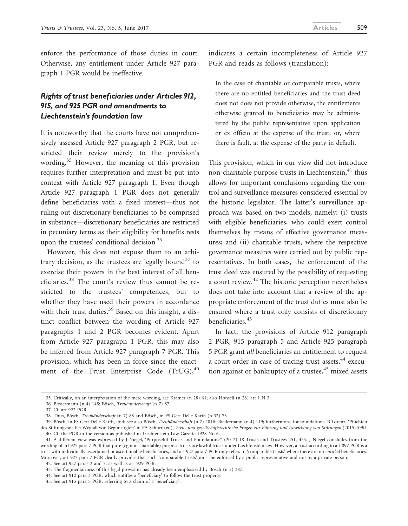enforce the performance of those duties in court. Otherwise, any entitlement under Article 927 paragraph 1 PGR would be ineffective.

#### Rights of trust beneficiaries under Articles 912, 915, and 925 PGR and amendments to Liechtenstein's foundation law

It is noteworthy that the courts have not comprehensively assessed Article 927 paragraph 2 PGR, but restricted their review merely to the provision's wording.<sup>35</sup> However, the meaning of this provision requires further interpretation and must be put into context with Article 927 paragraph 1. Even though Article 927 paragraph 1 PGR does not generally define beneficiaries with a fixed interest—thus not ruling out discretionary beneficiaries to be comprised in substance—discretionary beneficiaries are restricted in pecuniary terms as their eligibility for benefits rests upon the trustees' conditional decision.<sup>36</sup>

However, this does not expose them to an arbitrary decision, as the trustees are legally bound<sup>37</sup> to exercise their powers in the best interest of all beneficiaries.<sup>38</sup> The court's review thus cannot be restricted to the trustees' competences, but to whether they have used their powers in accordance with their trust duties.<sup>39</sup> Based on this insight, a distinct conflict between the wording of Article 927 paragraphs 1 and 2 PGR becomes evident. Apart from Article 927 paragraph 1 PGR, this may also be inferred from Article 927 paragraph 7 PGR. This provision, which has been in force since the enactment of the Trust Enterprise Code  $(Tr U G)<sub>40</sub>$  indicates a certain incompleteness of Article 927 PGR and reads as follows (translation):

In the case of charitable or comparable trusts, where there are no entitled beneficiaries and the trust deed does not does not provide otherwise, the entitlements otherwise granted to beneficiaries may be administered by the public representative upon application or ex officio at the expense of the trust, or, where there is fault, at the expense of the party in default.

This provision, which in our view did not introduce non-charitable purpose trusts in Liechtenstein, $41$  thus allows for important conclusions regarding the control and surveillance measures considered essential by the historic legislator. The latter's surveillance approach was based on two models, namely: (i) trusts with eligible beneficiaries, who could exert control themselves by means of effective governance measures; and (ii) charitable trusts, where the respective governance measures were carried out by public representatives. In both cases, the enforcement of the trust deed was ensured by the possibility of requesting a court review.42 The historic perception nevertheless does not take into account that a review of the appropriate enforcement of the trust duties must also be ensured where a trust only consists of discretionary beneficiaries.<sup>43</sup>

In fact, the provisions of Article 912 paragraph 2 PGR, 915 paragraph 5 and Article 925 paragraph 5 PGR grant all beneficiaries an entitlement to request a court order in case of tracing trust assets,<sup>44</sup> execution against or bankruptcy of a trustee,  $45$  mixed assets

<sup>35.</sup> Critically, on an interpretation of the mere wording, see Kramer (n 28) 61; also Honsell (n 28) art 1 N 3.

<sup>36.</sup> Biedermann (n 4) 145; Bösch, Treuhänderschaft (n 7) 87.

<sup>37.</sup> Cf. art 922 PGR.

<sup>38.</sup> Thus, Bösch, *Treuhänderschaft* (n 7) 88 and Bösch, in FS Gert Delle Karth (n 32) 73.

<sup>39.</sup> Bösch, in FS Gert Delle Karth, ibid; see also Bösch, Treuhänderschaft (n 7) 201ff; Biedermann (n 4) 119; furthermore, for foundations: B Lorenz, 'Pflichten des Stiftungsrats bei Wegfall von Begünstigten' in FA Schurr (ed), Zivil- und gesellschaftsrechtliche Fragen zur Führung und Abwicklung von Stiftungen (2015)109ff. 40. Cf. the PGR in the version as published in Liechtenstein Law Gazette 1928 No 6.

<sup>41.</sup> A different view was expressed by J Niegel, 'Purposeful Trusts and Foundations?' (2012) 18 Trusts and Trustees 451, 455. J Niegel concludes from the wording of art 927 para 7 PGR that pure (eg non-charitable) purpose trusts are lawful trusts under Liechtenstein law. However, a trust according to art 897 PGR is a trust with individually ascertained or ascertainable beneficiaries, and art 927 para 7 PGR only refers to 'comparable trusts' where there are no entitled beneficiaries. Moreover, art 927 para 7 PGR clearly provides that such 'comparable trusts' must be enforced by a public representative and not by a private person.

<sup>42.</sup> See art 927 paras 2 and 7, as well as art 929 PGR.

<sup>43.</sup> The fragmentariness of this legal provision has already been emphasized by Bösch (n 2) 387.

<sup>44.</sup> See art 912 para 3 PGR, which entitles a 'beneficiary' to follow the trust property.

<sup>45.</sup> See art 915 para 5 PGR, referring to a claim of a 'beneficiary'.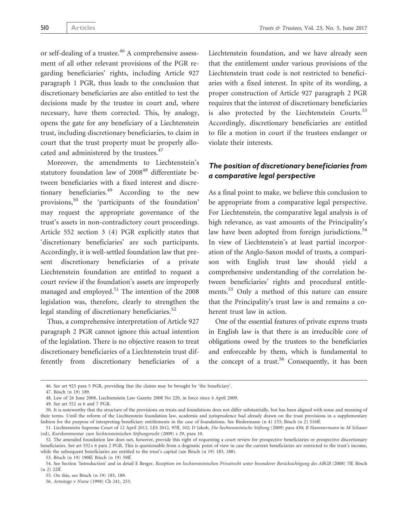or self-dealing of a trustee.<sup>46</sup> A comprehensive assessment of all other relevant provisions of the PGR regarding beneficiaries' rights, including Article 927 paragraph 1 PGR, thus leads to the conclusion that discretionary beneficiaries are also entitled to test the decisions made by the trustee in court and, where necessary, have them corrected. This, by analogy, opens the gate for any beneficiary of a Liechtenstein trust, including discretionary beneficiaries, to claim in court that the trust property must be properly allocated and administered by the trustees.<sup>47</sup>

Moreover, the amendments to Liechtenstein's statutory foundation law of 2008<sup>48</sup> differentiate between beneficiaries with a fixed interest and discretionary beneficiaries.<sup>49</sup> According to the new provisions,<sup>50</sup> the 'participants of the foundation' may request the appropriate governance of the trust's assets in non-contradictory court proceedings. Article 552 section 3 (4) PGR explicitly states that 'discretionary beneficiaries' are such participants. Accordingly, it is well-settled foundation law that present discretionary beneficiaries of a private Liechtenstein foundation are entitled to request a court review if the foundation's assets are improperly managed and employed. $51$  The intention of the 2008 legislation was, therefore, clearly to strengthen the legal standing of discretionary beneficiaries.<sup>52</sup>

Thus, a comprehensive interpretation of Article 927 paragraph 2 PGR cannot ignore this actual intention of the legislation. There is no objective reason to treat discretionary beneficiaries of a Liechtenstein trust differently from discretionary beneficiaries of a Liechtenstein foundation, and we have already seen that the entitlement under various provisions of the Liechtenstein trust code is not restricted to beneficiaries with a fixed interest. In spite of its wording, a proper construction of Article 927 paragraph 2 PGR requires that the interest of discretionary beneficiaries is also protected by the Liechtenstein Courts.<sup>53</sup> Accordingly, discretionary beneficiaries are entitled to file a motion in court if the trustees endanger or violate their interests.

#### The position of discretionary beneficiaries from a comparative legal perspective

As a final point to make, we believe this conclusion to be appropriate from a comparative legal perspective. For Liechtenstein, the comparative legal analysis is of high relevance, as vast amounts of the Principality's law have been adopted from foreign jurisdictions.<sup>54</sup> In view of Liechtenstein's at least partial incorporation of the Anglo-Saxon model of trusts, a comparison with English trust law should yield a comprehensive understanding of the correlation between beneficiaries' rights and procedural entitlements.<sup>55</sup> Only a method of this nature can ensure that the Principality's trust law is and remains a coherent trust law in action.

One of the essential features of private express trusts in English law is that there is an irreducible core of obligations owed by the trustees to the beneficiaries and enforceable by them, which is fundamental to the concept of a trust.<sup>56</sup> Consequently, it has been

<sup>46.</sup> See art 925 para 5 PGR, providing that the claims may be brought by 'the beneficiary'.

<sup>47.</sup> Bösch (n 19) 189.

<sup>48.</sup> Law of 26 June 2008, Liechtenstein Law Gazette 2008 No 220, in force since 4 April 2009.

<sup>49.</sup> See art 552 ss 6 and 7 PGR.

<sup>50.</sup> It is noteworthy that the structure of the provisions on trusts and foundations does not differ substantially, but has been aligned with sense and meaning of their terms. Until the reform of the Liechtenstein foundation law, academia and jurisprudence had already drawn on the trust provisions in a supplementary fashion for the purpose of interpreting beneficiary entitlements in the case of foundations. See Biedermann (n 4) 133; Bösch (n 2) 516ff.

<sup>51.</sup> Liechtenstein Supreme Court of 12 April 2012, LES 2012, 97ff, 102; D Jakob, Die liechtensteinische Stiftung (2009) para 430; B Hammermann in M Schauer (ed), Kurzkommentar zum liechtensteinischen Stiftungsrecht (2009) s 29, para 10.

<sup>52.</sup> The amended foundation law does not, however, provide this right of requesting a court review for prospective beneficiaries or prospective discretionary beneficiaries. See art 552 s 6 para 2 PGR. This is questionable from a dogmatic point of view in case the current beneficiaries are restricted to the trust's income, while the subsequent beneficiaries are entitled to the trust's capital (see Bösch (n 19) 183, 188).

<sup>53.</sup> Bösch (n 19) 190ff; Bösch (n 19) 59ff.

<sup>54.</sup> See Section 'Introduction' and in detail E Berger, Rezeption im liechtensteinischen Privatrecht unter besonderer Berücksichtigung des ABGB (2008) 7ff; Bösch (n 2) 22ff.

<sup>55.</sup> On this, see Bösch (n 19) 183, 189.

<sup>56.</sup> Armitage v Nurse (1998) Ch 241, 253.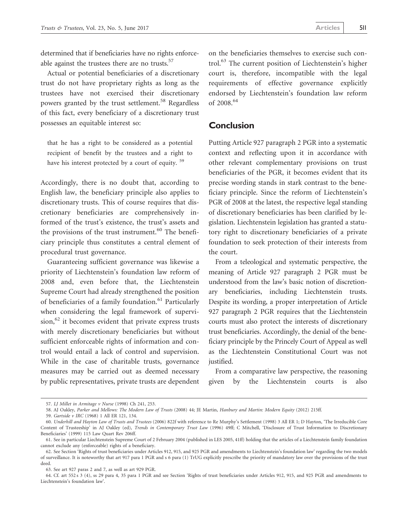determined that if beneficiaries have no rights enforceable against the trustees there are no trusts.<sup>57</sup>

Actual or potential beneficiaries of a discretionary trust do not have proprietary rights as long as the trustees have not exercised their discretionary powers granted by the trust settlement.<sup>58</sup> Regardless of this fact, every beneficiary of a discretionary trust possesses an equitable interest so:

that he has a right to be considered as a potential recipient of benefit by the trustees and a right to have his interest protected by a court of equity.<sup>59</sup>

Accordingly, there is no doubt that, according to English law, the beneficiary principle also applies to discretionary trusts. This of course requires that discretionary beneficiaries are comprehensively informed of the trust's existence, the trust's assets and the provisions of the trust instrument. $60$  The beneficiary principle thus constitutes a central element of procedural trust governance.

Guaranteeing sufficient governance was likewise a priority of Liechtenstein's foundation law reform of 2008 and, even before that, the Liechtenstein Supreme Court had already strengthened the position of beneficiaries of a family foundation.<sup>61</sup> Particularly when considering the legal framework of supervi $sion,$ <sup>62</sup> it becomes evident that private express trusts with merely discretionary beneficiaries but without sufficient enforceable rights of information and control would entail a lack of control and supervision. While in the case of charitable trusts, governance measures may be carried out as deemed necessary by public representatives, private trusts are dependent on the beneficiaries themselves to exercise such control.<sup>63</sup> The current position of Liechtenstein's higher court is, therefore, incompatible with the legal requirements of effective governance explicitly endorsed by Liechtenstein's foundation law reform of 2008.<sup>64</sup>

#### **Conclusion**

Putting Article 927 paragraph 2 PGR into a systematic context and reflecting upon it in accordance with other relevant complementary provisions on trust beneficiaries of the PGR, it becomes evident that its precise wording stands in stark contrast to the beneficiary principle. Since the reform of Liechtenstein's PGR of 2008 at the latest, the respective legal standing of discretionary beneficiaries has been clarified by legislation. Liechtenstein legislation has granted a statutory right to discretionary beneficiaries of a private foundation to seek protection of their interests from the court.

From a teleological and systematic perspective, the meaning of Article 927 paragraph 2 PGR must be understood from the law's basic notion of discretionary beneficiaries, including Liechtenstein trusts. Despite its wording, a proper interpretation of Article 927 paragraph 2 PGR requires that the Liechtenstein courts must also protect the interests of discretionary trust beneficiaries. Accordingly, the denial of the beneficiary principle by the Princely Court of Appeal as well as the Liechtenstein Constitutional Court was not justified.

From a comparative law perspective, the reasoning given by the Liechtenstein courts is also

<sup>57.</sup> LJ Millet in Armitage v Nurse (1998) Ch 241, 253.

<sup>58.</sup> AJ Oakley, Parker and Mellows: The Modern Law of Trusts (2008) 44; JE Martin, Hanbury and Martin: Modern Equity (2012) 215ff.

<sup>59.</sup> Gartside v IRC (1968) 1 All ER 121, 134.

<sup>60.</sup> Underhill and Hayton Law of Trusts and Trustees (2006) 822f with reference to Re Murphy's Settlement (1998) 3 All ER 1; D Hayton, 'The Irreducible Core Content of Trusteeship' in AJ Oakley (ed), Trends in Contemporary Trust Law (1996) 49ff; C Mitchell, 'Disclosure of Trust Information to Discretionary Beneficiaries' (1999) 115 Law Quart Rev 206ff.

<sup>61.</sup> See in particular Liechtenstein Supreme Court of 2 February 2004 (published in LES 2005, 41ff) holding that the articles of a Liechtenstein family foundation cannot exclude any (enforceable) rights of a beneficiary.

<sup>62.</sup> See Section 'Rights of trust beneficiaries under Articles 912, 915, and 925 PGR and amendments to Liechtenstein's foundation law' regarding the two models of surveillance. It is noteworthy that art 917 para 1 PGR and s 6 para (1) TrUG explicitly prescribe the priority of mandatory law over the provisions of the trust deed.

<sup>63.</sup> See art 927 paras 2 and 7, as well as art 929 PGR.

<sup>64.</sup> Cf. art 552 s 3 (4), ss 29 para 4, 35 para 1 PGR and see Section 'Rights of trust beneficiaries under Articles 912, 915, and 925 PGR and amendments to Liechtenstein's foundation law'.